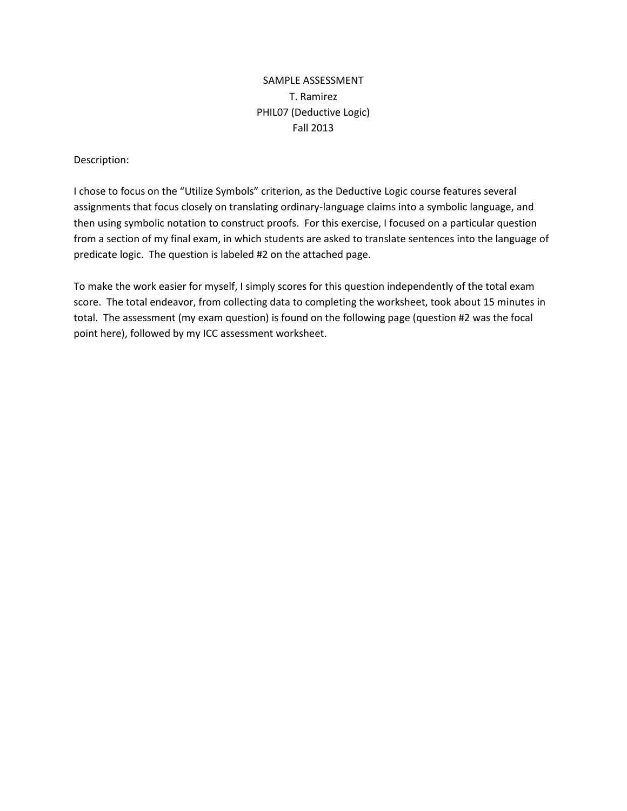# SAMPLE ASSESSMENT T. Ramirez PHIL07 (Deductive Logic) Fall 2013

## Description:

I chose to focus on the "Utilize Symbols" criterion, as the Deductive Logic course features several assignments that focus closely on translating ordinary-language claims into a symbolic language, and then using symbolic notation to construct proofs. For this exercise, I focused on a particular question from a section of my final exam, in which students are asked to translate sentences into the language of predicate logic. The question is labeled #2 on the attached page.

To make the work easier for myself, I simply scores for this question independently of the total exam score. The total endeavor, from collecting data to completing the worksheet, took about 15 minutes in total. The assessment (my exam question) is found on the following page (question #2 was the focal point here), followed by my ICC assessment worksheet.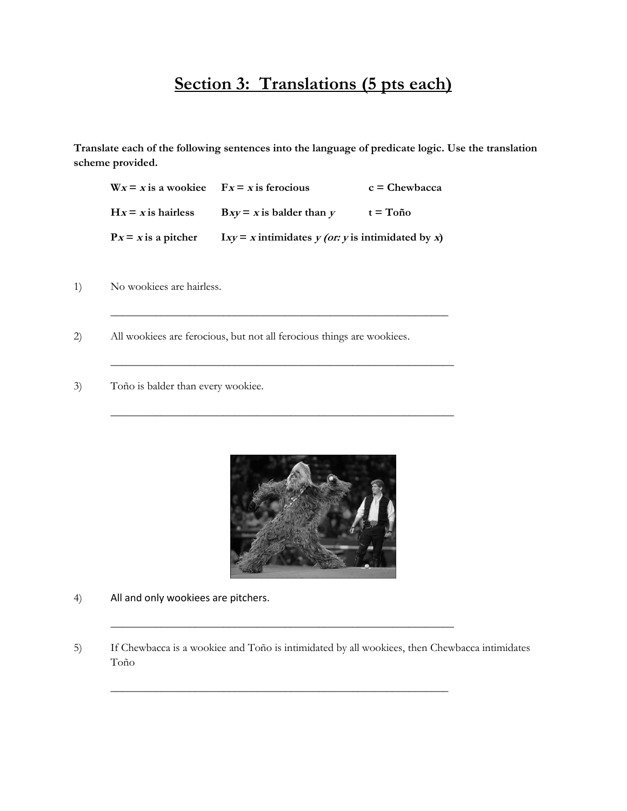# **Section 3: Translations (5 pts each)**

**Translate each of the following sentences into the language of predicate logic. Use the translation scheme provided.**

 $W_x = x$  is a wookiee  $F_x = x$  is ferocious  $c =$  Chewbacca  $Hx = x$  is hairless  $Bxy = x$  is balder than  $y = t = T$ oño  $P_x = x$  is a pitcher  $Ixy = x$  intimidates  $y$  (or: y is intimidated by x)

\_\_\_\_\_\_\_\_\_\_\_\_\_\_\_\_\_\_\_\_\_\_\_\_\_\_\_\_\_\_\_\_\_\_\_\_\_\_\_\_\_\_\_\_\_\_\_\_\_\_\_\_\_\_\_\_\_\_\_\_

\_\_\_\_\_\_\_\_\_\_\_\_\_\_\_\_\_\_\_\_\_\_\_\_\_\_\_\_\_\_\_\_\_\_\_\_\_\_\_\_\_\_\_\_\_\_\_\_\_\_\_\_\_\_\_\_\_\_\_\_\_

\_\_\_\_\_\_\_\_\_\_\_\_\_\_\_\_\_\_\_\_\_\_\_\_\_\_\_\_\_\_\_\_\_\_\_\_\_\_\_\_\_\_\_\_\_\_\_\_\_\_\_\_\_\_\_\_\_\_\_\_\_

1) No wookiees are hairless.

- 2) All wookiees are ferocious, but not all ferocious things are wookiees.
- 3) Toño is balder than every wookiee.



- 4) All and only wookiees are pitchers.
- 5) If Chewbacca is a wookiee and Toño is intimidated by all wookiees, then Chewbacca intimidates Toño

\_\_\_\_\_\_\_\_\_\_\_\_\_\_\_\_\_\_\_\_\_\_\_\_\_\_\_\_\_\_\_\_\_\_\_\_\_\_\_\_\_\_\_\_\_\_\_\_\_\_\_\_\_\_\_\_\_\_\_\_\_

\_\_\_\_\_\_\_\_\_\_\_\_\_\_\_\_\_\_\_\_\_\_\_\_\_\_\_\_\_\_\_\_\_\_\_\_\_\_\_\_\_\_\_\_\_\_\_\_\_\_\_\_\_\_\_\_\_\_\_\_